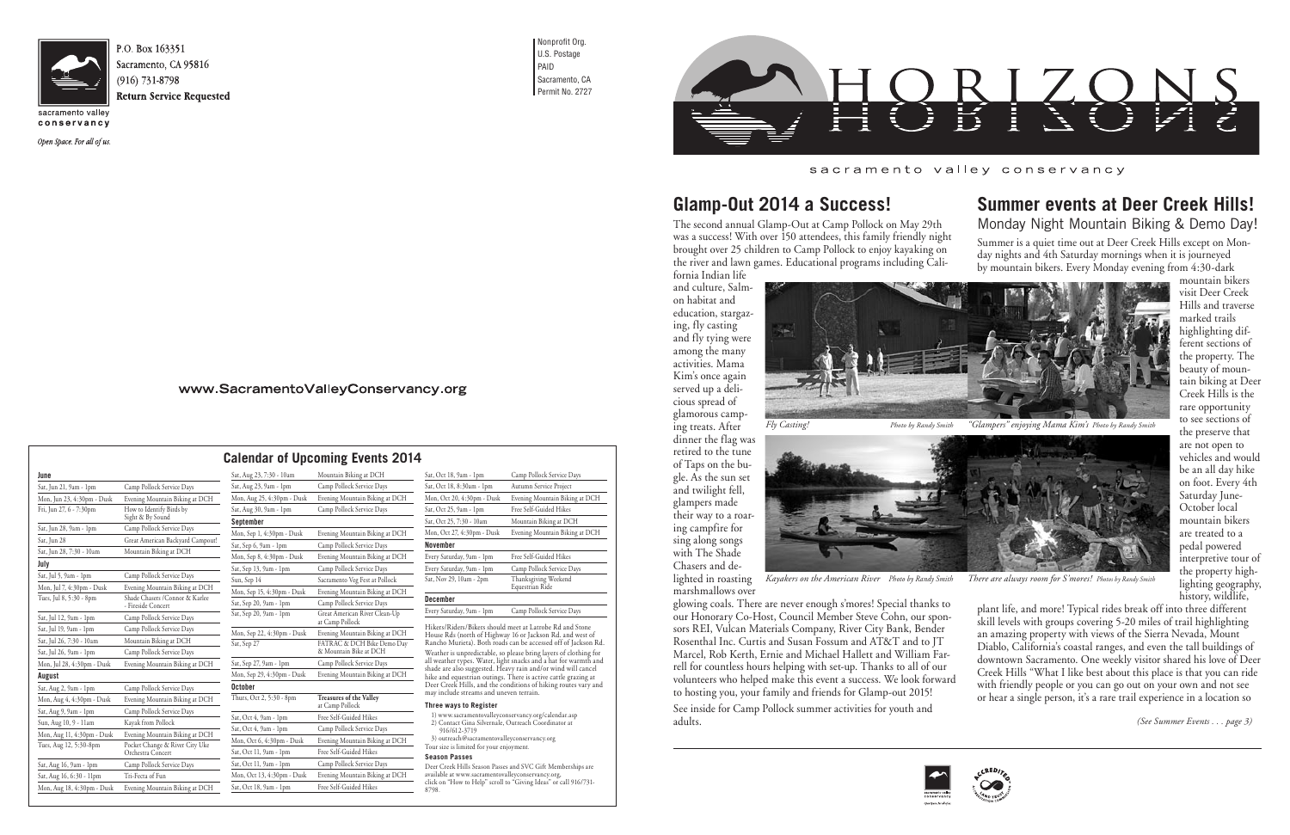

Sacramento, CA 95816

conservancy

Open Space. For all of us.

Mon, Aug 18, 4:30pm - Dusk Evening Mountain Biking at DCH

Nonprofit Org. U.S. Postage PAID Sacramento, CA Permit No. 2727



|                            |                                                       | <b>Calendar of Upcoming Events 20</b> |                                                  |  |
|----------------------------|-------------------------------------------------------|---------------------------------------|--------------------------------------------------|--|
| June                       |                                                       | Sat, Aug 23, 7:30 - 10am              | Mountain Biking at DCH                           |  |
| Sat, Jun 21, 9am - 1pm     | Camp Pollock Service Days                             | Sat, Aug 23, 9am - 1pm                | Camp Pollock Service Days                        |  |
| Mon, Jun 23, 4:30pm - Dusk | Evening Mountain Biking at DCH                        | Mon, Aug 25, 4:30pm - Dusk            | Evening Mountain Biking at DCH                   |  |
| Fri, Jun 27, 6 - 7:30pm    | How to Identify Birds by<br>Sight & By Sound          | Sat, Aug 30, 9am - 1pm                | Camp Pollock Service Days                        |  |
|                            |                                                       | September                             |                                                  |  |
| Sat, Jun 28, 9am - 1pm     | Camp Pollock Service Days                             | Mon, Sep 1, 4:30pm - Dusk             | Evening Mountain Biking at DCH                   |  |
| Sat, Jun 28                | Great American Backyard Campout!                      | Sat, Sep 6, 9am - 1pm                 | Camp Pollock Service Days                        |  |
| Sat, Jun 28, 7:30 - 10am   | Mountain Biking at DCH                                | Mon, Sep 8, 4:30pm - Dusk             | Evening Mountain Biking at DCH                   |  |
| July                       |                                                       | Sat, Sep 13, 9am - 1pm                | Camp Pollock Service Days                        |  |
| Sat, Jul 5, 9am - 1pm      | Camp Pollock Service Days                             | Sun, Sep 14                           | Sacramento Veg Fest at Pollock                   |  |
| Mon, Jul 7, 4:30pm - Dusk  | Evening Mountain Biking at DCH                        | Mon, Sep 15, 4:30pm - Dusk            | Evening Mountain Biking at DCH                   |  |
| Tues, Jul 8, 5:30 - 8pm    | Shade Chasers / Connor & Karlee<br>- Fireside Concert | Sat, Sep 20, 9am - 1pm                | Camp Pollock Service Days                        |  |
| Sat, Jul 12, 9am - 1pm     | Camp Pollock Service Days                             | Sat, Sep 20, 9am - 1pm                | Great American River Clean-Up<br>at Camp Pollock |  |
| Sat, Jul 19, 9am - 1pm     | Camp Pollock Service Days                             | Mon, Sep 22, 4:30pm - Dusk            | Evening Mountain Biking at DCH                   |  |
| Sat, Jul 26, 7:30 - 10am   | Mountain Biking at DCH                                | Sat, Sep 27                           | FATRAC & DCH Bike Demo Day                       |  |
| Sat, Jul 26, 9am - 1pm     | Camp Pollock Service Days                             |                                       | & Mountain Bike at DCH                           |  |
| Mon, Jul 28, 4:30pm - Dusk | Evening Mountain Biking at DCH                        | Sat, Sep 27, 9am - 1pm                | Camp Pollock Service Days                        |  |
| August                     |                                                       | Mon, Sep 29, 4:30pm - Dusk            | Evening Mountain Biking at DCH                   |  |
| Sat, Aug 2, 9am - 1pm      | Camp Pollock Service Days                             | October                               |                                                  |  |
| Mon, Aug 4, 4:30pm - Dusk  | Evening Mountain Biking at DCH                        | Thurs, Oct 2, 5:30 - 8pm              | Treasures of the Valley<br>at Camp Pollock       |  |
| Sat, Aug 9, 9am - 1pm      | Camp Pollock Service Days                             | Sat, Oct 4, 9am - 1pm                 | Free Self-Guided Hikes                           |  |
| Sun, Aug 10, 9 - 11am      | Kayak from Pollock                                    |                                       |                                                  |  |
| Mon, Aug 11, 4:30pm - Dusk | Evening Mountain Biking at DCH                        | Sat, Oct 4, 9am - 1pm                 | Camp Pollock Service Days                        |  |
| Tues, Aug 12, 5:30-8pm     | Pocket Change & River City Uke                        | Mon, Oct 6, 4:30pm - Dusk             | Evening Mountain Biking at DCH                   |  |
|                            | Orchestra Concert                                     | Sat, Oct 11, 9am - 1pm                | Free Self-Guided Hikes                           |  |
| Sat, Aug 16, 9am - 1pm     | Camp Pollock Service Days                             | Sat, Oct 11, 9am - 1pm                | Camp Pollock Service Days                        |  |
| Sat, Aug 16, 6:30 - 11pm   | Tri-Fecta of Fun                                      | Mon, Oct 13, 4:30pm - Dusk            | Evening Mountain Biking at DCH                   |  |

| Sat, Aug 23, 7:30 - 10am   | Mountain Biking at DCH                               | Sat, Oct 18, 9am - 1pm                                                                                                                                                                                                                 | Camp Pollock Service Days |
|----------------------------|------------------------------------------------------|----------------------------------------------------------------------------------------------------------------------------------------------------------------------------------------------------------------------------------------|---------------------------|
| Sat, Aug 23, 9am - 1pm     | Camp Pollock Service Days                            | Sat, Oct 18, 8:30am - 1pm                                                                                                                                                                                                              | Autumn Service Project    |
| Mon, Aug 25, 4:30pm - Dusk | Evening Mountain Biking at DCH                       | Mon, Oct 20, 4:30pm - Dusk                                                                                                                                                                                                             | Evening Mountain Biking a |
| Sat, Aug 30, 9am - 1pm     | Camp Pollock Service Days                            | Sat, Oct 25, 9am - 1pm                                                                                                                                                                                                                 | Free Self-Guided Hikes    |
| September                  |                                                      | Sat, Oct 25, 7:30 - 10am                                                                                                                                                                                                               | Mountain Biking at DCH    |
| Mon, Sep 1, 4:30pm - Dusk  | Evening Mountain Biking at DCH                       | Mon, Oct 27, 4:30pm - Dusk                                                                                                                                                                                                             | Evening Mountain Biking a |
| Sat, Sep 6, 9am - 1pm      | Camp Pollock Service Days                            | <b>November</b>                                                                                                                                                                                                                        |                           |
| Mon, Sep 8, 4:30pm - Dusk  | Evening Mountain Biking at DCH                       | Every Saturday, 9am - 1pm                                                                                                                                                                                                              | Free Self-Guided Hikes    |
| Sat, Sep 13, 9am - 1pm     | Camp Pollock Service Days                            | Every Saturday, 9am - 1pm                                                                                                                                                                                                              | Camp Pollock Service Days |
| Sun, Sep 14                | Sacramento Veg Fest at Pollock                       | Sat, Nov 29, 10am - 2pm                                                                                                                                                                                                                | Thanksgiving Weekend      |
| Mon, Sep 15, 4:30pm - Dusk | Evening Mountain Biking at DCH                       |                                                                                                                                                                                                                                        | Equestrian Ride           |
| Sat, Sep 20, 9am - 1pm     | Camp Pollock Service Days                            | <b>December</b>                                                                                                                                                                                                                        |                           |
| Sat, Sep 20, 9am - 1pm     | Great American River Clean-Up<br>at Camp Pollock     | Every Saturday, 9am - 1pm                                                                                                                                                                                                              | Camp Pollock Service Days |
| Mon, Sep 22, 4:30pm - Dusk | Evening Mountain Biking at DCH                       | Hikers/Riders/Bikers should meet at Latrobe Rd and Sto<br>House Rds (north of Highway 16 or Jackson Rd. and we<br>Rancho Murieta). Both roads can be accessed off of Jack<br>Weather is unpredictable, so please bring layers of cloth |                           |
| Sat, Sep 27                | FATRAC & DCH Bike Demo Day<br>& Mountain Bike at DCH |                                                                                                                                                                                                                                        |                           |
| Sat, Sep 27, 9am - 1pm     | Camp Pollock Service Days                            | all weather types. Water, light snacks and a hat for warn                                                                                                                                                                              |                           |
| Mon, Sep 29, 4:30pm - Dusk | Evening Mountain Biking at DCH                       | shade are also suggested. Heavy rain and/or wind will c<br>hike and equestrian outings. There is active cattle grazii                                                                                                                  |                           |
| October                    |                                                      | Deer Creek Hills, and the conditions of hiking routes va                                                                                                                                                                               |                           |
| Thurs, Oct 2, 5:30 - 8pm   | <b>Treasures of the Valley</b><br>at Camp Pollock    | may include streams and uneven terrain.<br><b>Three ways to Register</b>                                                                                                                                                               |                           |
| Sat, Oct 4, 9am - 1pm      | Free Self-Guided Hikes                               | 1) www.sacramentovalleyconservancy.org/calendar.asp                                                                                                                                                                                    |                           |
| Sat, Oct 4, 9am - 1pm      | Camp Pollock Service Days                            | 2) Contact Gina Silvernale, Outreach Coordinator at<br>916/612-3719<br>3) outreach@sacramentovalleyconservancy.org                                                                                                                     |                           |
| Mon, Oct 6, 4:30pm - Dusk  | Evening Mountain Biking at DCH                       |                                                                                                                                                                                                                                        |                           |
| Sat, Oct 11, 9am - 1pm     | Free Self-Guided Hikes                               | Tour size is limited for your enjoyment.<br><b>Season Passes</b>                                                                                                                                                                       |                           |
| Sat, Oct 11, 9am - 1pm     | Camp Pollock Service Days                            |                                                                                                                                                                                                                                        |                           |
| Mon, Oct 13, 4:30pm - Dusk | Evening Mountain Biking at DCH                       | Deer Creek Hills Season Passes and SVC Gift Membership.<br>available at www.sacramentovalleyconservancy.org,<br>click on "How to Help" scroll to "Giving Ideas" or call 916/<br>0700.                                                  |                           |
| Sat, Oct 18, 9am - 1pm     | Free Self-Guided Hikes                               |                                                                                                                                                                                                                                        |                           |

all weather types. Water, light snacks and a hat for warmth and shade are also suggested. Heavy rain and/or wind will cancel hike and equestrian outings. There is active cattle grazing at Deer Creek Hills, and the conditions of hiking routes vary and may include streams and uneven terrain.

#### **Three ways to Register**

| Sat, Oct 18, 8:30am - 1pm  | Autumn Service Project                                                                                                                                                                                                                                                                                                         |
|----------------------------|--------------------------------------------------------------------------------------------------------------------------------------------------------------------------------------------------------------------------------------------------------------------------------------------------------------------------------|
| Mon, Oct 20, 4:30pm - Dusk | Evening Mountain Biking at DCH                                                                                                                                                                                                                                                                                                 |
| Sat, Oct 25, 9am - 1pm     | Free Self-Guided Hikes                                                                                                                                                                                                                                                                                                         |
| Sat, Oct 25, 7:30 - 10am   | Mountain Biking at DCH                                                                                                                                                                                                                                                                                                         |
| Mon, Oct 27, 4:30pm - Dusk | Evening Mountain Biking at DCH                                                                                                                                                                                                                                                                                                 |
| November                   |                                                                                                                                                                                                                                                                                                                                |
| Every Saturday, 9am - 1pm  | Free Self-Guided Hikes                                                                                                                                                                                                                                                                                                         |
| Every Saturday, 9am - 1pm  | Camp Pollock Service Days                                                                                                                                                                                                                                                                                                      |
| Sat, Nov 29, 10am - 2pm    | Thanksgiving Weekend<br>Equestrian Ride                                                                                                                                                                                                                                                                                        |
| December                   |                                                                                                                                                                                                                                                                                                                                |
| Every Saturday, 9am - 1pm  | Camp Pollock Service Days                                                                                                                                                                                                                                                                                                      |
|                            | Hikers/Riders/Bikers should meet at Latrobe Rd and Stone<br>House Rds (north of Highway 16 or Jackson Rd. and west of<br>Rancho Murieta). Both roads can be accessed off of Jackson Rd.<br>Weather is unpredictable, so please bring layers of clothing for<br>all weather types. Water, light specks and a bat for warmth and |

Deer Creek Hills Season Passes and SVC Gift Memberships are available at www.sacramentovalleyconservancy.org, click on "How to Help" scroll to "Giving Ideas" or call 916/731- 8798.

### sacramento valley conservancy

### **Calendar of Upcoming Events 2014**

# **Glamp-Out 2014 a Success!**

The second annual Glamp-Out at Camp Pollock on May 29th was a success! With over 150 attendees, this family friendly night brought over 25 children to Camp Pollock to enjoy kayaking on the river and lawn games. Educational programs including California Indian life

and culture, Salmon habitat and education, stargazing, fly casting and fly tying were among the many activities. Mama Kim's once again served up a delicious spread of glamorous camping treats. After dinner the flag was retired to the tune of Taps on the bugle. As the sun set and twilight fell, glampers made their way to a roaring campfire for sing along songs with The Shade

Chasers and delighted in roasting

See inside for Camp Pollock summer activities for youth and adults.

### www.SacramentoValleyConservancy.org





*Kayakers on the American River Photo by Randy Smith There are always room for S'mores! Photos by Randy Smith*

### **Summer events at Deer Creek Hills!**  Monday Night Mountain Biking & Demo Day!

Summer is a quiet time out at Deer Creek Hills except on Monday nights and 4th Saturday mornings when it is journeyed by mountain bikers. Every Monday evening from 4:30-dark

marshmallows over glowing coals. There are never enough s'mores! Special thanks to our Honorary Co-Host, Council Member Steve Cohn, our sponsors REI, Vulcan Materials Company, River City Bank, Bender Rosenthal Inc. Curtis and Susan Fossum and AT&T and to JT Marcel, Rob Kerth, Ernie and Michael Hallett and William Farrell for countless hours helping with set-up. Thanks to all of our volunteers who helped make this event a success. We look forward to hosting you, your family and friends for Glamp-out 2015! plant life, and more! Typical rides break off into three different skill levels with groups covering 5-20 miles of trail highlighting an amazing property with views of the Sierra Nevada, Mount Diablo, California's coastal ranges, and even the tall buildings of downtown Sacramento. One weekly visitor shared his love of Deer Creek Hills "What I like best about this place is that you can ride with friendly people or you can go out on your own and not see or hear a single person, it's a rare trail experience in a location so

mountain bikers visit Deer Creek Hills and traverse marked trails highlighting different sections of the property. The beauty of mountain biking at Deer Creek Hills is the rare opportunity to see sections of the preserve that are not open to vehicles and would be an all day hike on foot. Every 4th Saturday June-October local mountain bikers are treated to a pedal powered interpretive tour of the property highlighting geography, history, wildlife,

*(See Summer Events . . . page 3)*